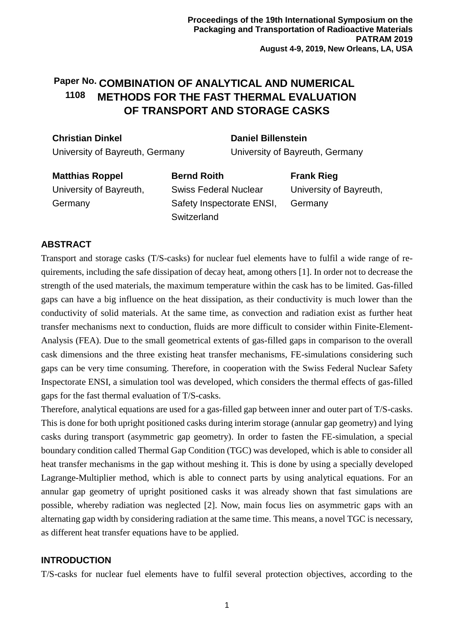### Paper No. COMBINATION OF ANALYTICAL AND NUMERICAL **METHODS FOR THE FAST THERMAL EVALUATION OF TRANSPORT AND STORAGE CASKS 1108**

| <b>Christian Dinkel</b>         | <b>Daniel Billenstein</b>       |
|---------------------------------|---------------------------------|
| University of Bayreuth, Germany | University of Bayreuth, Germany |

**Matthias Roppel** University of Bayreuth, Germany **Bernd Roith** Swiss Federal Nuclear Safety Inspectorate ENSI, **Switzerland Frank Rieg** University of Bayreuth, Germany

# **ABSTRACT**

Transport and storage casks (T/S-casks) for nuclear fuel elements have to fulfil a wide range of requirements, including the safe dissipation of decay heat, among others [1]. In order not to decrease the strength of the used materials, the maximum temperature within the cask has to be limited. Gas-filled gaps can have a big influence on the heat dissipation, as their conductivity is much lower than the conductivity of solid materials. At the same time, as convection and radiation exist as further heat transfer mechanisms next to conduction, fluids are more difficult to consider within Finite-Element-Analysis (FEA). Due to the small geometrical extents of gas-filled gaps in comparison to the overall cask dimensions and the three existing heat transfer mechanisms, FE-simulations considering such gaps can be very time consuming. Therefore, in cooperation with the Swiss Federal Nuclear Safety Inspectorate ENSI, a simulation tool was developed, which considers the thermal effects of gas-filled gaps for the fast thermal evaluation of T/S-casks.

Therefore, analytical equations are used for a gas-filled gap between inner and outer part of T/S-casks. This is done for both upright positioned casks during interim storage (annular gap geometry) and lying casks during transport (asymmetric gap geometry). In order to fasten the FE-simulation, a special boundary condition called Thermal Gap Condition (TGC) was developed, which is able to consider all heat transfer mechanisms in the gap without meshing it. This is done by using a specially developed Lagrange-Multiplier method, which is able to connect parts by using analytical equations. For an annular gap geometry of upright positioned casks it was already shown that fast simulations are possible, whereby radiation was neglected [2]. Now, main focus lies on asymmetric gaps with an alternating gap width by considering radiation at the same time. This means, a novel TGC is necessary, as different heat transfer equations have to be applied.

## **INTRODUCTION**

T/S-casks for nuclear fuel elements have to fulfil several protection objectives, according to the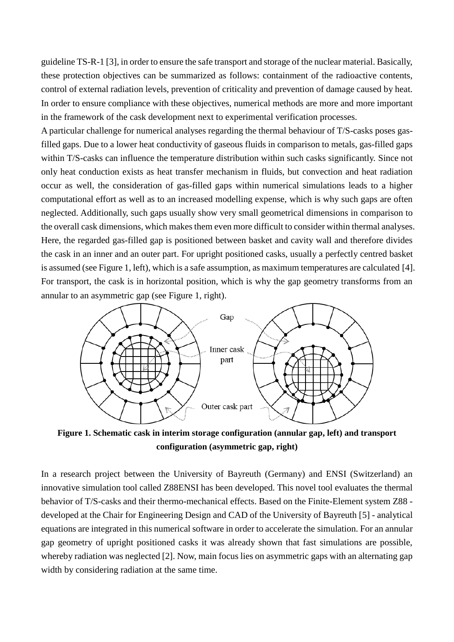guideline TS-R-1 [3], in order to ensure the safe transport and storage of the nuclear material. Basically, these protection objectives can be summarized as follows: containment of the radioactive contents, control of external radiation levels, prevention of criticality and prevention of damage caused by heat. In order to ensure compliance with these objectives, numerical methods are more and more important in the framework of the cask development next to experimental verification processes.

A particular challenge for numerical analyses regarding the thermal behaviour of T/S-casks poses gasfilled gaps. Due to a lower heat conductivity of gaseous fluids in comparison to metals, gas-filled gaps within T/S-casks can influence the temperature distribution within such casks significantly. Since not only heat conduction exists as heat transfer mechanism in fluids, but convection and heat radiation occur as well, the consideration of gas-filled gaps within numerical simulations leads to a higher computational effort as well as to an increased modelling expense, which is why such gaps are often neglected. Additionally, such gaps usually show very small geometrical dimensions in comparison to the overall cask dimensions, which makes them even more difficult to consider within thermal analyses. Here, the regarded gas-filled gap is positioned between basket and cavity wall and therefore divides the cask in an inner and an outer part. For upright positioned casks, usually a perfectly centred basket is assumed (see Figure 1, left), which is a safe assumption, as maximum temperatures are calculated [4]. For transport, the cask is in horizontal position, which is why the gap geometry transforms from an annular to an asymmetric gap (see Figure 1, right).



**Figure 1. Schematic cask in interim storage configuration (annular gap, left) and transport configuration (asymmetric gap, right)**

In a research project between the University of Bayreuth (Germany) and ENSI (Switzerland) an innovative simulation tool called Z88ENSI has been developed. This novel tool evaluates the thermal behavior of T/S-casks and their thermo-mechanical effects. Based on the Finite-Element system Z88 developed at the Chair for Engineering Design and CAD of the University of Bayreuth [5] - analytical equations are integrated in this numerical software in order to accelerate the simulation. For an annular gap geometry of upright positioned casks it was already shown that fast simulations are possible, whereby radiation was neglected [2]. Now, main focus lies on asymmetric gaps with an alternating gap width by considering radiation at the same time.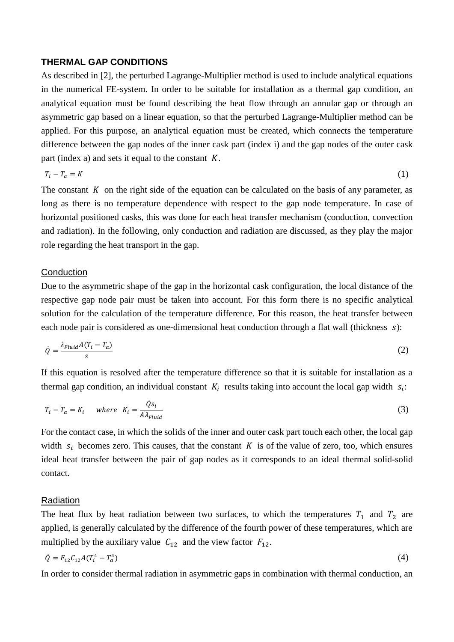#### **THERMAL GAP CONDITIONS**

As described in [2], the perturbed Lagrange-Multiplier method is used to include analytical equations in the numerical FE-system. In order to be suitable for installation as a thermal gap condition, an analytical equation must be found describing the heat flow through an annular gap or through an asymmetric gap based on a linear equation, so that the perturbed Lagrange-Multiplier method can be applied. For this purpose, an analytical equation must be created, which connects the temperature difference between the gap nodes of the inner cask part (index i) and the gap nodes of the outer cask part (index a) and sets it equal to the constant  $K$ .

$$
T_i - T_a = K \tag{1}
$$

The constant  $K$  on the right side of the equation can be calculated on the basis of any parameter, as long as there is no temperature dependence with respect to the gap node temperature. In case of horizontal positioned casks, this was done for each heat transfer mechanism (conduction, convection and radiation). In the following, only conduction and radiation are discussed, as they play the major role regarding the heat transport in the gap.

#### **Conduction**

Due to the asymmetric shape of the gap in the horizontal cask configuration, the local distance of the respective gap node pair must be taken into account. For this form there is no specific analytical solution for the calculation of the temperature difference. For this reason, the heat transfer between each node pair is considered as one-dimensional heat conduction through a flat wall (thickness s):

$$
\dot{Q} = \frac{\lambda_{Fluid} A(T_i - T_a)}{s} \tag{2}
$$

If this equation is resolved after the temperature difference so that it is suitable for installation as a thermal gap condition, an individual constant  $K_i$  results taking into account the local gap width  $s_i$ :

$$
T_i - T_a = K_i \quad \text{where} \quad K_i = \frac{\dot{Q}s_i}{A\lambda_{Fluid}} \tag{3}
$$

For the contact case, in which the solids of the inner and outer cask part touch each other, the local gap width  $s_i$  becomes zero. This causes, that the constant K is of the value of zero, too, which ensures ideal heat transfer between the pair of gap nodes as it corresponds to an ideal thermal solid-solid contact.

#### Radiation

The heat flux by heat radiation between two surfaces, to which the temperatures  $T_1$  and  $T_2$  are applied, is generally calculated by the difference of the fourth power of these temperatures, which are multiplied by the auxiliary value  $C_{12}$  and the view factor  $F_{12}$ .

$$
\dot{Q} = F_{12} C_{12} A (T_i^4 - T_a^4) \tag{4}
$$

In order to consider thermal radiation in asymmetric gaps in combination with thermal conduction, an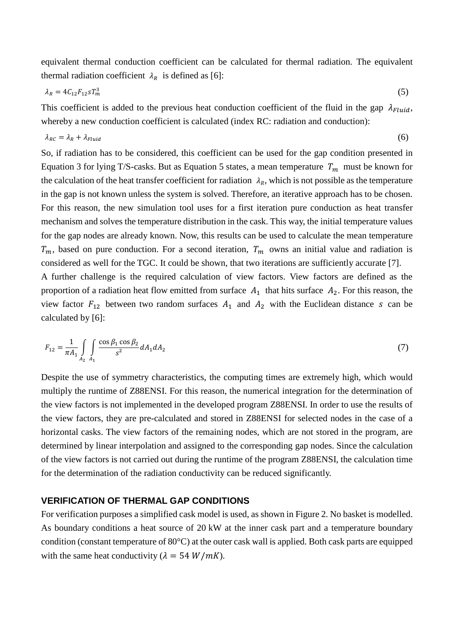equivalent thermal conduction coefficient can be calculated for thermal radiation. The equivalent thermal radiation coefficient  $\lambda_R$  is defined as [6]:

$$
\lambda_R = 4C_{12}F_{12}ST_m^3 \tag{5}
$$

This coefficient is added to the previous heat conduction coefficient of the fluid in the gap  $\lambda_{Fluid}$ , whereby a new conduction coefficient is calculated (index RC: radiation and conduction):

$$
\lambda_{RC} = \lambda_R + \lambda_{Fluid} \tag{6}
$$

So, if radiation has to be considered, this coefficient can be used for the gap condition presented in Equation 3 for lying T/S-casks. But as Equation 5 states, a mean temperature  $T_m$  must be known for the calculation of the heat transfer coefficient for radiation  $\lambda_R$ , which is not possible as the temperature in the gap is not known unless the system is solved. Therefore, an iterative approach has to be chosen. For this reason, the new simulation tool uses for a first iteration pure conduction as heat transfer mechanism and solves the temperature distribution in the cask. This way, the initial temperature values for the gap nodes are already known. Now, this results can be used to calculate the mean temperature  $T_m$ , based on pure conduction. For a second iteration,  $T_m$  owns an initial value and radiation is considered as well for the TGC. It could be shown, that two iterations are sufficiently accurate [7].

A further challenge is the required calculation of view factors. View factors are defined as the proportion of a radiation heat flow emitted from surface  $A_1$  that hits surface  $A_2$ . For this reason, the view factor  $F_{12}$  between two random surfaces  $A_1$  and  $A_2$  with the Euclidean distance s can be calculated by [6]:

$$
F_{12} = \frac{1}{\pi A_1} \int_{A_2} \int_{A_1} \frac{\cos \beta_1 \cos \beta_2}{s^2} dA_1 dA_2 \tag{7}
$$

Despite the use of symmetry characteristics, the computing times are extremely high, which would multiply the runtime of Z88ENSI. For this reason, the numerical integration for the determination of the view factors is not implemented in the developed program Z88ENSI. In order to use the results of the view factors, they are pre-calculated and stored in Z88ENSI for selected nodes in the case of a horizontal casks. The view factors of the remaining nodes, which are not stored in the program, are determined by linear interpolation and assigned to the corresponding gap nodes. Since the calculation of the view factors is not carried out during the runtime of the program Z88ENSI, the calculation time for the determination of the radiation conductivity can be reduced significantly.

### **VERIFICATION OF THERMAL GAP CONDITIONS**

For verification purposes a simplified cask model is used, as shown in Figure 2. No basket is modelled. As boundary conditions a heat source of 20 kW at the inner cask part and a temperature boundary condition (constant temperature of 80°C) at the outer cask wall is applied. Both cask parts are equipped with the same heat conductivity ( $\lambda = 54 W/mK$ ).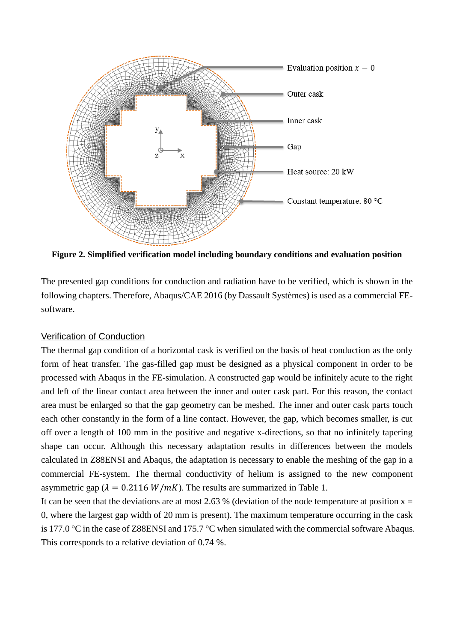

**Figure 2. Simplified verification model including boundary conditions and evaluation position**

The presented gap conditions for conduction and radiation have to be verified, which is shown in the following chapters. Therefore, Abaqus/CAE 2016 (by Dassault Systèmes) is used as a commercial FEsoftware.

#### Verification of Conduction

The thermal gap condition of a horizontal cask is verified on the basis of heat conduction as the only form of heat transfer. The gas-filled gap must be designed as a physical component in order to be processed with Abaqus in the FE-simulation. A constructed gap would be infinitely acute to the right and left of the linear contact area between the inner and outer cask part. For this reason, the contact area must be enlarged so that the gap geometry can be meshed. The inner and outer cask parts touch each other constantly in the form of a line contact. However, the gap, which becomes smaller, is cut off over a length of 100 mm in the positive and negative x-directions, so that no infinitely tapering shape can occur. Although this necessary adaptation results in differences between the models calculated in Z88ENSI and Abaqus, the adaptation is necessary to enable the meshing of the gap in a commercial FE-system. The thermal conductivity of helium is assigned to the new component asymmetric gap ( $\lambda = 0.2116 W/mK$ ). The results are summarized in Table 1.

It can be seen that the deviations are at most 2.63 % (deviation of the node temperature at position  $x =$ 0, where the largest gap width of 20 mm is present). The maximum temperature occurring in the cask is 177.0 °C in the case of Z88ENSI and 175.7 °C when simulated with the commercial software Abaqus. This corresponds to a relative deviation of 0.74 %.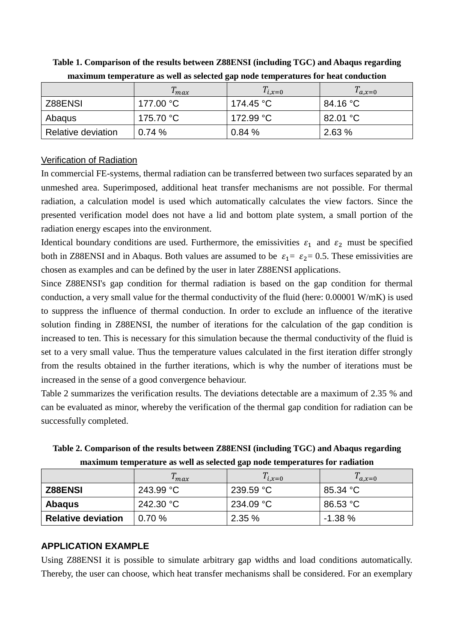|                    | $\mu$ max | $T_{i,x=0}$ | $a_{,x=0}$ |
|--------------------|-----------|-------------|------------|
| Z88ENSI            | 177.00 °C | 174.45 °C   | 84.16 °C   |
| Abaqus             | 175.70 °C | 172.99 °C   | 82.01 °C   |
| Relative deviation | 0.74%     | 0.84%       | 2.63%      |

**Table 1. Comparison of the results between Z88ENSI (including TGC) and Abaqus regarding maximum temperature as well as selected gap node temperatures for heat conduction**

## Verification of Radiation

In commercial FE-systems, thermal radiation can be transferred between two surfaces separated by an unmeshed area. Superimposed, additional heat transfer mechanisms are not possible. For thermal radiation, a calculation model is used which automatically calculates the view factors. Since the presented verification model does not have a lid and bottom plate system, a small portion of the radiation energy escapes into the environment.

Identical boundary conditions are used. Furthermore, the emissivities  $\varepsilon_1$  and  $\varepsilon_2$  must be specified both in Z88ENSI and in Abaqus. Both values are assumed to be  $\varepsilon_1 = \varepsilon_2 = 0.5$ . These emissivities are chosen as examples and can be defined by the user in later Z88ENSI applications.

Since Z88ENSI's gap condition for thermal radiation is based on the gap condition for thermal conduction, a very small value for the thermal conductivity of the fluid (here: 0.00001 W/mK) is used to suppress the influence of thermal conduction. In order to exclude an influence of the iterative solution finding in Z88ENSI, the number of iterations for the calculation of the gap condition is increased to ten. This is necessary for this simulation because the thermal conductivity of the fluid is set to a very small value. Thus the temperature values calculated in the first iteration differ strongly from the results obtained in the further iterations, which is why the number of iterations must be increased in the sense of a good convergence behaviour.

Table 2 summarizes the verification results. The deviations detectable are a maximum of 2.35 % and can be evaluated as minor, whereby the verification of the thermal gap condition for radiation can be successfully completed.

|                                                                             |  | Table 2. Comparison of the results between Z88ENSI (including TGC) and Abaqus regarding |  |  |  |
|-----------------------------------------------------------------------------|--|-----------------------------------------------------------------------------------------|--|--|--|
| maximum temperature as well as selected gap node temperatures for radiation |  |                                                                                         |  |  |  |
|                                                                             |  |                                                                                         |  |  |  |

|                           | $\mu$ max | $T_{i,x=0}$ | $a_{,x=0}$ |
|---------------------------|-----------|-------------|------------|
| <b>Z88ENSI</b>            | 243.99 °C | 239.59 °C   | 85.34 °C   |
| <b>Abagus</b>             | 242.30 °C | 234.09 °C   | 86.53 °C   |
| <b>Relative deviation</b> | 0.70%     | 2.35%       | $-1.38\%$  |

### **APPLICATION EXAMPLE**

Using Z88ENSI it is possible to simulate arbitrary gap widths and load conditions automatically. Thereby, the user can choose, which heat transfer mechanisms shall be considered. For an exemplary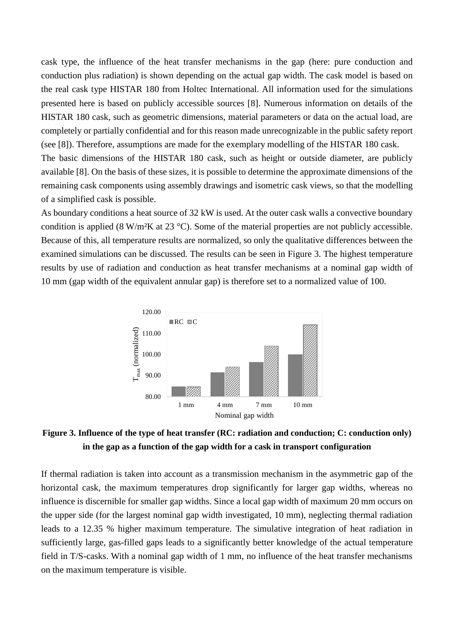cask type, the influence of the heat transfer mechanisms in the gap (here: pure conduction and conduction plus radiation) is shown depending on the actual gap width. The cask model is based on the real cask type HISTAR 180 from Holtec International. All information used for the simulations presented here is based on publicly accessible sources [8]. Numerous information on details of the HISTAR 180 cask, such as geometric dimensions, material parameters or data on the actual load, are completely or partially confidential and for this reason made unrecognizable in the public safety report (see [8]). Therefore, assumptions are made for the exemplary modelling of the HISTAR 180 cask.

The basic dimensions of the HISTAR 180 cask, such as height or outside diameter, are publicly available [8]. On the basis of these sizes, it is possible to determine the approximate dimensions of the remaining cask components using assembly drawings and isometric cask views, so that the modelling of a simplified cask is possible.

As boundary conditions a heat source of 32 kW is used. At the outer cask walls a convective boundary condition is applied (8 W/m²K at 23 °C). Some of the material properties are not publicly accessible. Because of this, all temperature results are normalized, so only the qualitative differences between the examined simulations can be discussed. The results can be seen in Figure 3. The highest temperature results by use of radiation and conduction as heat transfer mechanisms at a nominal gap width of 10 mm (gap width of the equivalent annular gap) is therefore set to a normalized value of 100.



# **Figure 3. Influence of the type of heat transfer (RC: radiation and conduction; C: conduction only) in the gap as a function of the gap width for a cask in transport configuration**

If thermal radiation is taken into account as a transmission mechanism in the asymmetric gap of the horizontal cask, the maximum temperatures drop significantly for larger gap widths, whereas no influence is discernible for smaller gap widths. Since a local gap width of maximum 20 mm occurs on the upper side (for the largest nominal gap width investigated, 10 mm), neglecting thermal radiation leads to a 12.35 % higher maximum temperature. The simulative integration of heat radiation in sufficiently large, gas-filled gaps leads to a significantly better knowledge of the actual temperature field in T/S-casks. With a nominal gap width of 1 mm, no influence of the heat transfer mechanisms on the maximum temperature is visible.